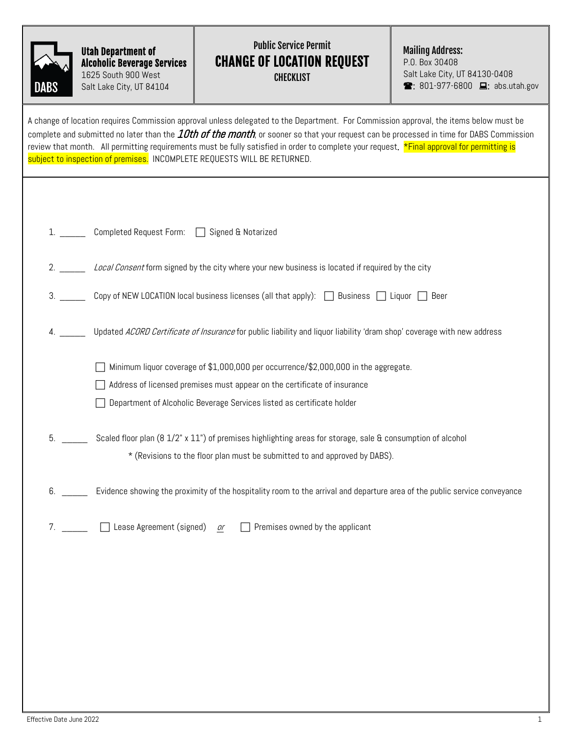| DABS |  |
|------|--|

## Utah Department of Alcoholic Beverage Services 1625 South 900 West Salt Lake City, UT 84104

## Public Service Permit CHANGE OF LOCATION REQUEST CHECKLIST

Mailing Address:

P.O. Box 30408 Salt Lake City, UT 84130-0408  $\bullet$ : 801-977-6800  $\Box$ : abs.utah.gov

|    | A change of location requires Commission approval unless delegated to the Department. For Commission approval, the items below must be<br>complete and submitted no later than the <i><b>10th of the month</b>,</i> or sooner so that your request can be processed in time for DABS Commission<br>review that month. All permitting requirements must be fully satisfied in order to complete your request. <mark>*Final approval for permitting is</mark><br>subject to inspection of premises. INCOMPLETE REQUESTS WILL BE RETURNED. |
|----|-----------------------------------------------------------------------------------------------------------------------------------------------------------------------------------------------------------------------------------------------------------------------------------------------------------------------------------------------------------------------------------------------------------------------------------------------------------------------------------------------------------------------------------------|
|    |                                                                                                                                                                                                                                                                                                                                                                                                                                                                                                                                         |
|    | Completed Request Form: Signed & Notarized                                                                                                                                                                                                                                                                                                                                                                                                                                                                                              |
|    | Local Consent form signed by the city where your new business is located if required by the city                                                                                                                                                                                                                                                                                                                                                                                                                                        |
| 3. | Copy of NEW LOCATION local business licenses (all that apply): $\Box$ Business $\Box$ Liquor $\Box$ Beer                                                                                                                                                                                                                                                                                                                                                                                                                                |
|    | Updated ACORD Certificate of Insurance for public liability and liquor liability 'dram shop' coverage with new address                                                                                                                                                                                                                                                                                                                                                                                                                  |
|    | Minimum liquor coverage of \$1,000,000 per occurrence/\$2,000,000 in the aggregate.                                                                                                                                                                                                                                                                                                                                                                                                                                                     |
|    | Address of licensed premises must appear on the certificate of insurance                                                                                                                                                                                                                                                                                                                                                                                                                                                                |
|    | Department of Alcoholic Beverage Services listed as certificate holder                                                                                                                                                                                                                                                                                                                                                                                                                                                                  |
| 5. | Scaled floor plan (8 1/2" x 11") of premises highlighting areas for storage, sale & consumption of alcohol                                                                                                                                                                                                                                                                                                                                                                                                                              |
|    | * (Revisions to the floor plan must be submitted to and approved by DABS).                                                                                                                                                                                                                                                                                                                                                                                                                                                              |
| 6. | Evidence showing the proximity of the hospitality room to the arrival and departure area of the public service conveyance                                                                                                                                                                                                                                                                                                                                                                                                               |
| 7. | Lease Agreement (signed) or<br>$\Box$ Premises owned by the applicant                                                                                                                                                                                                                                                                                                                                                                                                                                                                   |
|    |                                                                                                                                                                                                                                                                                                                                                                                                                                                                                                                                         |
|    |                                                                                                                                                                                                                                                                                                                                                                                                                                                                                                                                         |
|    |                                                                                                                                                                                                                                                                                                                                                                                                                                                                                                                                         |
|    |                                                                                                                                                                                                                                                                                                                                                                                                                                                                                                                                         |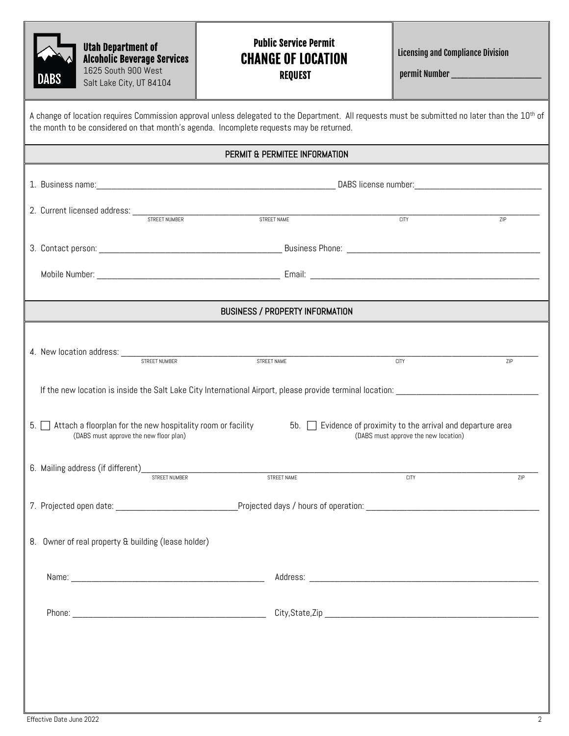| <b>DABS</b>                                                                                                                                                                                                                                                                                                                      | <b>Utah Department of</b><br><b>Alcoholic Beverage Services</b><br>1625 South 900 West<br>Salt Lake City, UT 84104                                                                                                                                    | <b>Public Service Permit</b><br><b>CHANGE OF LOCATION</b><br><b>REQUEST</b> | <b>Licensing and Compliance Division</b><br>permit Number _______________________ |  |  |  |  |
|----------------------------------------------------------------------------------------------------------------------------------------------------------------------------------------------------------------------------------------------------------------------------------------------------------------------------------|-------------------------------------------------------------------------------------------------------------------------------------------------------------------------------------------------------------------------------------------------------|-----------------------------------------------------------------------------|-----------------------------------------------------------------------------------|--|--|--|--|
|                                                                                                                                                                                                                                                                                                                                  | A change of location requires Commission approval unless delegated to the Department. All requests must be submitted no later than the 10 <sup>th</sup> of<br>the month to be considered on that month's agenda. Incomplete requests may be returned. |                                                                             |                                                                                   |  |  |  |  |
|                                                                                                                                                                                                                                                                                                                                  |                                                                                                                                                                                                                                                       | PERMIT & PERMITEE INFORMATION                                               |                                                                                   |  |  |  |  |
|                                                                                                                                                                                                                                                                                                                                  |                                                                                                                                                                                                                                                       |                                                                             |                                                                                   |  |  |  |  |
|                                                                                                                                                                                                                                                                                                                                  |                                                                                                                                                                                                                                                       |                                                                             | $rac{1}{CITY}$<br>7IP                                                             |  |  |  |  |
|                                                                                                                                                                                                                                                                                                                                  |                                                                                                                                                                                                                                                       |                                                                             |                                                                                   |  |  |  |  |
|                                                                                                                                                                                                                                                                                                                                  |                                                                                                                                                                                                                                                       |                                                                             |                                                                                   |  |  |  |  |
|                                                                                                                                                                                                                                                                                                                                  |                                                                                                                                                                                                                                                       | <b>BUSINESS / PROPERTY INFORMATION</b>                                      |                                                                                   |  |  |  |  |
|                                                                                                                                                                                                                                                                                                                                  |                                                                                                                                                                                                                                                       | STREET NAME                                                                 | <b>CITY</b><br>ZIP                                                                |  |  |  |  |
| If the new location is inside the Salt Lake City International Airport, please provide terminal location:<br>Attach a floorplan for the new hospitality room or facility<br>5b. Evidence of proximity to the arrival and departure area<br>5.1<br>(DABS must approve the new floor plan)<br>(DABS must approve the new location) |                                                                                                                                                                                                                                                       |                                                                             |                                                                                   |  |  |  |  |
|                                                                                                                                                                                                                                                                                                                                  | 6. Mailing address (if different)<br>STREET NUMBER<br>STREET NUMBER                                                                                                                                                                                   | STREET NAME                                                                 | <b>CITY</b><br>ZIP                                                                |  |  |  |  |
|                                                                                                                                                                                                                                                                                                                                  |                                                                                                                                                                                                                                                       |                                                                             |                                                                                   |  |  |  |  |
| 8. Owner of real property & building (lease holder)                                                                                                                                                                                                                                                                              |                                                                                                                                                                                                                                                       |                                                                             |                                                                                   |  |  |  |  |
|                                                                                                                                                                                                                                                                                                                                  |                                                                                                                                                                                                                                                       |                                                                             |                                                                                   |  |  |  |  |
|                                                                                                                                                                                                                                                                                                                                  |                                                                                                                                                                                                                                                       |                                                                             |                                                                                   |  |  |  |  |
|                                                                                                                                                                                                                                                                                                                                  |                                                                                                                                                                                                                                                       |                                                                             |                                                                                   |  |  |  |  |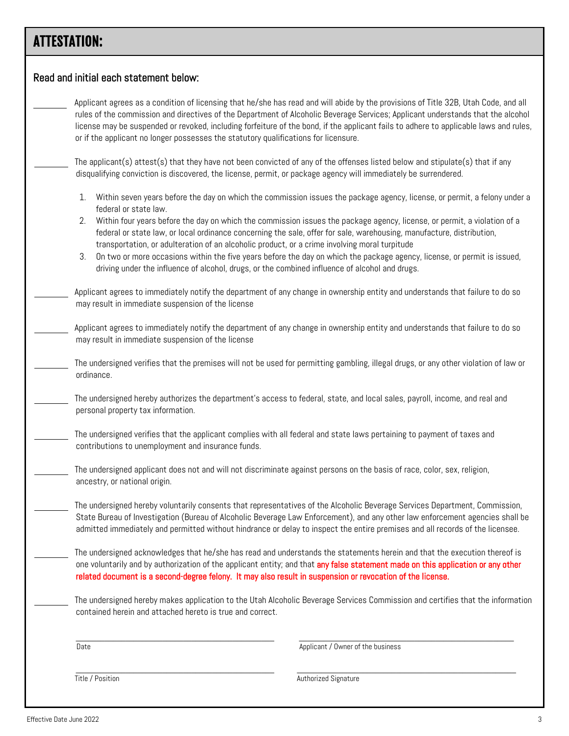## ATTESTATION:

| or if the applicant no longer possesses the statutory qualifications for licensure.                                                                                                                                                                                                                                                                                                           | Applicant agrees as a condition of licensing that he/she has read and will abide by the provisions of Title 32B, Utah Code, and all<br>rules of the commission and directives of the Department of Alcoholic Beverage Services; Applicant understands that the alcohol<br>license may be suspended or revoked, including forfeiture of the bond, if the applicant fails to adhere to applicable laws and rules,                                                                                                  |  |
|-----------------------------------------------------------------------------------------------------------------------------------------------------------------------------------------------------------------------------------------------------------------------------------------------------------------------------------------------------------------------------------------------|------------------------------------------------------------------------------------------------------------------------------------------------------------------------------------------------------------------------------------------------------------------------------------------------------------------------------------------------------------------------------------------------------------------------------------------------------------------------------------------------------------------|--|
| disqualifying conviction is discovered, the license, permit, or package agency will immediately be surrendered.                                                                                                                                                                                                                                                                               | The applicant(s) attest(s) that they have not been convicted of any of the offenses listed below and stipulate(s) that if any                                                                                                                                                                                                                                                                                                                                                                                    |  |
| federal or state law.<br>transportation, or adulteration of an alcoholic product, or a crime involving moral turpitude<br>driving under the influence of alcohol, drugs, or the combined influence of alcohol and drugs.                                                                                                                                                                      | 1. Within seven years before the day on which the commission issues the package agency, license, or permit, a felony under a<br>Within four years before the day on which the commission issues the package agency, license, or permit, a violation of a<br>federal or state law, or local ordinance concerning the sale, offer for sale, warehousing, manufacture, distribution,<br>3. On two or more occasions within the five years before the day on which the package agency, license, or permit is issued, |  |
| may result in immediate suspension of the license                                                                                                                                                                                                                                                                                                                                             | Applicant agrees to immediately notify the department of any change in ownership entity and understands that failure to do so                                                                                                                                                                                                                                                                                                                                                                                    |  |
| may result in immediate suspension of the license                                                                                                                                                                                                                                                                                                                                             | Applicant agrees to immediately notify the department of any change in ownership entity and understands that failure to do so                                                                                                                                                                                                                                                                                                                                                                                    |  |
| ordinance.                                                                                                                                                                                                                                                                                                                                                                                    | The undersigned verifies that the premises will not be used for permitting gambling, illegal drugs, or any other violation of law or                                                                                                                                                                                                                                                                                                                                                                             |  |
| personal property tax information.                                                                                                                                                                                                                                                                                                                                                            | The undersigned hereby authorizes the department's access to federal, state, and local sales, payroll, income, and real and                                                                                                                                                                                                                                                                                                                                                                                      |  |
| contributions to unemployment and insurance funds.                                                                                                                                                                                                                                                                                                                                            | The undersigned verifies that the applicant complies with all federal and state laws pertaining to payment of taxes and                                                                                                                                                                                                                                                                                                                                                                                          |  |
| ancestry, or national origin.                                                                                                                                                                                                                                                                                                                                                                 | The undersigned applicant does not and will not discriminate against persons on the basis of race, color, sex, religion,                                                                                                                                                                                                                                                                                                                                                                                         |  |
| The undersigned hereby voluntarily consents that representatives of the Alcoholic Beverage Services Department, Commission,<br>State Bureau of Investigation (Bureau of Alcoholic Beverage Law Enforcement), and any other law enforcement agencies shall be<br>admitted immediately and permitted without hindrance or delay to inspect the entire premises and all records of the licensee. |                                                                                                                                                                                                                                                                                                                                                                                                                                                                                                                  |  |
| related document is a second-degree felony. It may also result in suspension or revocation of the license.                                                                                                                                                                                                                                                                                    | The undersigned acknowledges that he/she has read and understands the statements herein and that the execution thereof is<br>one voluntarily and by authorization of the applicant entity; and that any false statement made on this application or any other                                                                                                                                                                                                                                                    |  |
| contained herein and attached hereto is true and correct.                                                                                                                                                                                                                                                                                                                                     | The undersigned hereby makes application to the Utah Alcoholic Beverage Services Commission and certifies that the information                                                                                                                                                                                                                                                                                                                                                                                   |  |
| Date                                                                                                                                                                                                                                                                                                                                                                                          | Applicant / Owner of the business                                                                                                                                                                                                                                                                                                                                                                                                                                                                                |  |
| Title / Position                                                                                                                                                                                                                                                                                                                                                                              | Authorized Signature                                                                                                                                                                                                                                                                                                                                                                                                                                                                                             |  |